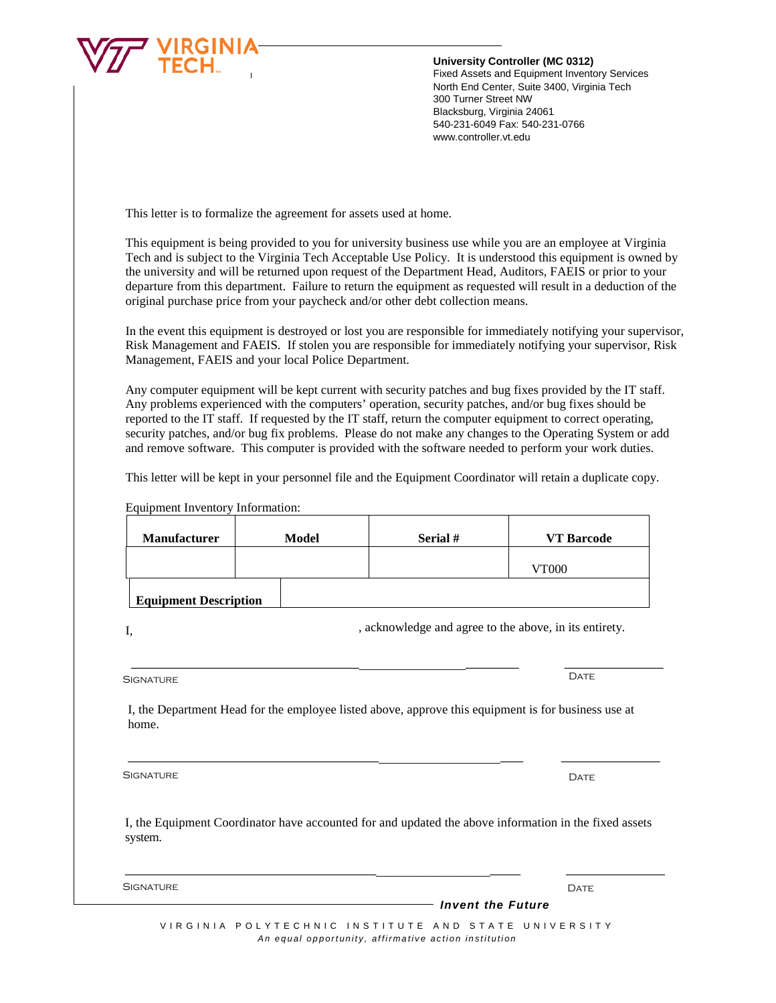

## **University Controller (MC 0312)**

Fixed Assets and Equipment Inventory Services North End Center, Suite 3400, Virginia Tech 300 Turner Street NW Blacksburg, Virginia 24061 540-231-6049 Fax: 540-231-0766 www.controller.vt.edu

This letter is to formalize the agreement for assets used at home.

This equipment is being provided to you for university business use while you are an employee at Virginia Tech and is subject to the Virginia Tech Acceptable Use Policy. It is understood this equipment is owned by the university and will be returned upon request of the Department Head, Auditors, FAEIS or prior to your departure from this department. Failure to return the equipment as requested will result in a deduction of the original purchase price from your paycheck and/or other debt collection means.

In the event this equipment is destroyed or lost you are responsible for immediately notifying your supervisor, Risk Management and FAEIS. If stolen you are responsible for immediately notifying your supervisor, Risk Management, FAEIS and your local Police Department.

Any computer equipment will be kept current with security patches and bug fixes provided by the IT staff. Any problems experienced with the computers' operation, security patches, and/or bug fixes should be reported to the IT staff. If requested by the IT staff, return the computer equipment to correct operating, security patches, and/or bug fix problems. Please do not make any changes to the Operating System or add and remove software. This computer is provided with the software needed to perform your work duties.

This letter will be kept in your personnel file and the Equipment Coordinator will retain a duplicate copy.

| Manufacturer                 | <b>Model</b> | Serial #                                                                                              | <b>VT</b> Barcode |
|------------------------------|--------------|-------------------------------------------------------------------------------------------------------|-------------------|
|                              |              |                                                                                                       | <b>VT000</b>      |
| <b>Equipment Description</b> |              |                                                                                                       |                   |
| I,                           |              | , acknowledge and agree to the above, in its entirety.                                                |                   |
|                              |              |                                                                                                       |                   |
| <b>SIGNATURE</b>             |              |                                                                                                       | <b>DATE</b>       |
| home.                        |              | I, the Department Head for the employee listed above, approve this equipment is for business use at   |                   |
| <b>SIGNATURE</b>             |              |                                                                                                       | <b>DATE</b>       |
| system.                      |              | I, the Equipment Coordinator have accounted for and updated the above information in the fixed assets |                   |
| <b>SIGNATURE</b>             |              |                                                                                                       | <b>DATE</b>       |

Equipment Inventory Information:

VIRGINIA POLYTECHNIC INSTITUTE AND STATE UNIVERSITY *An equal opportunity, affirmative action institution*

*Invent the Future*